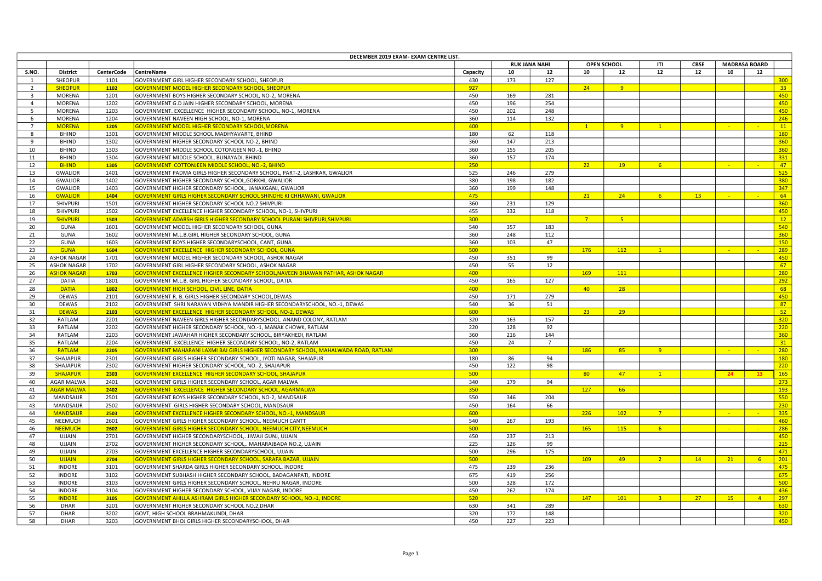| DECEMBER 2019 EXAM- EXAM CENTRE LIST. |                    |                   |                                                                                     |          |     |                      |                |                    |                |                 |             |                      |                  |
|---------------------------------------|--------------------|-------------------|-------------------------------------------------------------------------------------|----------|-----|----------------------|----------------|--------------------|----------------|-----------------|-------------|----------------------|------------------|
|                                       |                    |                   |                                                                                     |          |     | <b>RUK JANA NAHI</b> |                | <b>OPEN SCHOOL</b> | ITI            | <b>CBSE</b>     |             | <b>MADRASA BOARD</b> |                  |
| S.NO.                                 | <b>District</b>    | <b>CenterCode</b> | CentreName                                                                          | Capacity | 10  | 12                   | 10             | 12                 | 12             | 12              | 10          | 12                   |                  |
|                                       | SHEOPUR            | 1101              | GOVERNMENT GIRL HIGHER SECONDARY SCHOOL, SHEOPUR                                    | 430      | 173 | 127                  |                |                    |                |                 |             |                      | 300              |
| 2                                     | <b>SHEOPUR</b>     | 1102              | GOVERNMENT MODEL HIGHER SECONDARY SCHOOL, SHEOPUR                                   | 927      |     |                      | 24             | 9 <sup>°</sup>     |                |                 |             |                      | 33 <sup>°</sup>  |
| $\overline{\mathbf{3}}$               | MORENA             | 1201              | GOVERNMENT BOYS HIGHER SECONDARY SCHOOL, NO-2, MORENA                               | 450      | 169 | 281                  |                |                    |                |                 |             |                      | 450              |
| $\overline{4}$                        | MORENA             | 1202              | GOVERNMENT G.D JAIN HIGHER SECONDARY SCHOOL, MORENA                                 | 450      | 196 | 254                  |                |                    |                |                 |             |                      | 450              |
| 5                                     | MORENA             | 1203              | GOVERNMENT. EXCELLENCE HIGHER SECONDARY SCHOOL, NO-1, MORENA                        | 450      | 202 | 248                  |                |                    |                |                 |             |                      | 450              |
| 6                                     | <b>MORENA</b>      | 1204              | GOVERNMENT NAVEEN HIGH SCHOOL, NO-1, MORENA                                         | 360      | 114 | 132                  |                |                    |                |                 |             |                      | 246              |
| $\overline{7}$                        | <b>MORENA</b>      | 1205              | GOVERNMENT MODEL HIGHER SECONDARY SCHOOL, MORENA                                    | 400      |     |                      | $\mathbf{1}$   | $9 -$              | $\mathbf{1}$   |                 | 140         |                      | 11               |
| $\mathbf{8}$                          | BHIND              | 1301              | GOVERNMENT MIDDLE SCHOOL MADHYAVARTE, BHIND                                         | 180      | 62  | 118                  |                |                    |                |                 |             |                      | 180              |
| 9                                     | <b>BHIND</b>       | 1302              | GOVERNMENT HIGHER SECONDARY SCHOOL NO-2, BHIND                                      | 360      | 147 | 213                  |                |                    |                |                 |             |                      | 360              |
| 10                                    | <b>BHIND</b>       | 1303              | GOVERNMENT MIDDLE SCHOOL COTONGEEN NO.-1, BHIND                                     | 360      | 155 | 205                  |                |                    |                |                 |             |                      | 360              |
| 11                                    | <b>BHIND</b>       | 1304              | GOVERNMENT MIDDLE SCHOOL, BUNAYADI, BHIND                                           | 360      | 157 | 174                  |                |                    |                |                 |             |                      | 331              |
| 12                                    | <b>BHIND</b>       | 1305              | GOVERNMENT COTTONJEEN MIDDLE SCHOOL, NO.-2, BHIND                                   | 250      |     |                      | 22             | 19                 | 6 <sup>7</sup> |                 |             |                      | 47               |
| 13                                    | <b>GWALIOR</b>     | 1401              | GOVERNMENT PADMA GIRLS HIGHER SECONDARY SCHOOL, PART-2, LASHKAR, GWALIOR            | 525      | 246 | 279                  |                |                    |                |                 |             |                      | 525              |
| 14                                    | <b>GWALIOR</b>     | 1402              | GOVERNMENT HIGHER SECONDARY SCHOOL, GORKHI, GWALIOR                                 | 380      | 198 | 182                  |                |                    |                |                 |             |                      | 380              |
| 15                                    | <b>GWALIOR</b>     | 1403              | GOVERNMENT HIGHER SECONDARY SCHOOL,. JANAKGANJ, GWALIOR                             | 360      | 199 | 148                  |                |                    |                |                 |             |                      | 347              |
| 16                                    | <b>GWALIOR</b>     | 1404              | GOVERNMENT GIRLS HIGHER SECONDARY SCHOOL SHINDHE KI CHHAWANI, GWALIOR               | 475      |     |                      | 21             | 24                 | 6 <sup>1</sup> | 13              | <b>Card</b> |                      | 64               |
| 17                                    | SHIVPURI           | 1501              | GOVERNMENT HIGHER SECONDARY SCHOOL NO.2 SHIVPURI                                    | 360      | 231 | 129                  |                |                    |                |                 |             |                      | 360              |
| 18                                    | SHIVPURI           | 1502              | GOVERNMENT EXCELLENCE HIGHER SECONDARY SCHOOL, NO-1, SHIVPURI                       | 455      | 332 | 118                  |                |                    |                |                 |             |                      | 450              |
| 19                                    | <b>SHIVPURI</b>    | 1503              | <u>GOVERNMENT ADARSH GIRLS HIGHER SECONDARY SCHOOL PURANI SHIVPURI,SHIVPURI.</u>    | 300      |     |                      | 7 <sup>7</sup> | 5 <sub>1</sub>     |                |                 |             |                      | 12               |
| 20                                    | GUNA               | 1601              | GOVERNMENT MODEL HIGHER SECONDARY SCHOOL, GUNA                                      | 540      | 357 | 183                  |                |                    |                |                 |             |                      | 540              |
| 21                                    |                    | 1602              | GOVERNMENT M.L.B.GIRL HIGHER SECONDARY SCHOOL, GUNA                                 | 360      | 248 | 112                  |                |                    |                |                 |             |                      | 360              |
| 22                                    | GUNA<br>GUNA       | 1603              | GOVERNMENT BOYS HIGHER SECONDARYSCHOOL, CANT, GUNA                                  | 360      | 103 | 47                   |                |                    |                |                 |             |                      | 150              |
| 23                                    |                    |                   |                                                                                     | 500      |     |                      |                |                    |                |                 | - 11        | - 1                  |                  |
|                                       | <b>GUNA</b>        | 1604              | GOVERNMENT EXCELLENCE HIGHER SECONDARY SCHOOL, GUNA                                 |          |     |                      | 176            | 112                | 1              |                 |             |                      | 289              |
| 24                                    | <b>ASHOK NAGAR</b> | 1701              | GOVERNMENT MODEL HIGHER SECONDARY SCHOOL, ASHOK NAGAR                               | 450      | 351 | 99                   |                |                    |                |                 |             |                      | 450              |
| 25                                    | <b>ASHOK NAGAR</b> | 1702              | GOVERNMENT GIRL HIGHER SECONDARY SCHOOL, ASHOK NAGAR                                | 450      | 55  | 12                   |                |                    |                |                 |             |                      | 67               |
| 26                                    | <b>ASHOK NAGAR</b> | 1703              | GOVERNMENT EXCELLENCE HIGHER SECONDARY SCHOOL, NAVEEN BHAWAN PATHAR, ASHOK NAGAR    | 400      |     |                      | 169            | 111                |                |                 |             |                      | 280              |
| 27                                    | DATIA              | 1801              | GOVERNMENT M.L.B. GIRL HIGHER SECONDARY SCHOOL, DATIA                               | 450      | 165 | 127                  |                |                    |                |                 |             |                      | 292              |
| 28                                    | <b>DATIA</b>       | 1802              | <b>GOVERNMENT HIGH SCHOOL, CIVIL LINE, DATIA</b>                                    | 400      |     |                      | 40             | 28                 |                |                 |             |                      | 68               |
| 29                                    | <b>DEWAS</b>       | 2101              | GOVERNMENT R. B. GIRLS HIGHER SECONDARY SCHOOL, DEWAS                               | 450      | 171 | 279                  |                |                    |                |                 |             |                      | 450              |
| 30                                    | <b>DEWAS</b>       | 2102              | GOVERNMENT SHRI NARAYAN VIDHYA MANDIR HIGHER SECONDARYSCHOOL, NO.-1, DEWAS          | 540      | 36  | 51                   |                |                    |                |                 |             |                      | 87               |
| 31                                    | <b>DEWAS</b>       | 2103              | GOVERNMENT EXCELLENCE HIGHER SECONDARY SCHOOL, NO-2, DEWAS                          | 600      |     |                      | 23             | 29                 |                |                 |             |                      | 52               |
| 32                                    | RATLAM             | 2201              | GOVERNMENT NAVEEN GIRLS HIGHER SECONDARYSCHOOL. ANAND COLONY, RATLAM                | 320      | 163 | 157                  |                |                    |                |                 |             |                      | 320              |
| 33                                    | RATLAM             | 2202              | GOVERNMENT HIGHER SECONDARY SCHOOL, NO.-1, MANAK CHOWK, RATLAM                      | 220      | 128 | 92                   |                |                    |                |                 |             |                      | 220              |
| 34                                    | RATLAM             | 2203              | GOVERNMENT JAWAHAR HIGHER SECONDARY SCHOOL, BIRYAKHEDI, RATLAM                      | 360      | 216 | 144                  |                |                    |                |                 |             |                      | 360              |
| 35                                    | RATLAM             | 2204              | GOVERNMENT. EXCELLENCE HIGHER SECONDARY SCHOOL, NO-2, RATLAM                        | 450      | 24  | $7^{\circ}$          |                |                    |                |                 |             |                      | 31               |
| 36                                    | RATLAM             | 2205              | GOVERNMENT MAHARANI LAXMI BAI GIRLS HIGHER SECONDARY SCHOOL, MAHALWADA ROAD, RATLAM | 300      |     |                      | 186            | 85                 | 9              |                 | <b>SALE</b> |                      | 280              |
| 37                                    | SHAJAPUR           | 2301              | GOVERNMENT GIRLS HIGHER SECONDARY SCHOOL, JYOTI NAGAR, SHAJAPUR                     | 180      | 86  | 94                   |                |                    |                |                 |             |                      | 180              |
| 38                                    | SHAJAPUR           | 2302              | GOVERNMENT HIGHER SECONDARY SCHOOL, NO.-2, SHAJAPUR                                 | 450      | 122 | 98                   |                |                    |                |                 |             |                      | 220              |
| 39                                    | SHAJAPUR           | 2303              | GOVERNMENT EXCELLENCE HIGHER SECONDARY SCHOOL, SHAJAPUR                             | 500      |     |                      | 80             | 47                 | $\sqrt{1}$     |                 | 24          | 13                   | 165              |
| 40                                    | <b>AGAR MALWA</b>  | 2401              | GOVERNMENT GIRLS HIGHER SECONDARY SCHOOL, AGAR MALWA                                | 340      | 179 | 94                   |                |                    |                |                 |             |                      | 273              |
| 41                                    | <b>AGAR MALWA</b>  | 2402              | GOVERNMENT EXCELLENCE HIGHER SECONDARY SCHOOL, AGARMALWA                            | 350      |     |                      | 127            | 66                 |                |                 |             |                      | 193              |
| 42                                    | MANDSAUR           | 2501              | GOVERNMENT BOYS HIGHER SECONDARY SCHOOL, NO-2, MANDSAUR                             | 550      | 346 | 204                  |                |                    |                |                 |             |                      | 550              |
| 43                                    | MANDSAUR           | 2502              | GOVERNMENT GIRLS HIGHER SECONDARY SCHOOL, MANDSAUR                                  | 450      | 164 | 66                   |                |                    |                |                 |             |                      | 230              |
| 44                                    | <b>MANDSAUR</b>    | 2503              | GOVERNMENT EXCELLENCE HIGHER SECONDARY SCHOOL, NO.-1, MANDSAUR                      | 600      |     |                      | 226            | 102                | 7 <sup>7</sup> |                 | $\sim$      |                      | 335              |
| 45                                    | NEEMUCH            | 2601              | GOVERNMENT GIRLS HIGHER SECONDARY SCHOOL, NEEMUCH CANTT                             | 540      | 267 | 193                  |                |                    |                |                 |             |                      | 460              |
| 46                                    | <b>NEEMUCH</b>     | 2602              | GOVERNMENT GIRLS HIGHER SECONDARY SCHOOL, NEEMUCH CITY, NEEMUCH                     | 500      |     |                      | 165            | 115                | 6 <sup>1</sup> |                 | $\sim$      | - 1                  | 286              |
| 47                                    | <b>UJJAIN</b>      | 2701              | GOVERNMENT HIGHER SECONDARYSCHOOL,. JIWAJI GUNJ, UJJAIN                             | 450      | 237 | 213                  |                |                    |                |                 |             |                      | 450              |
| 48                                    | <b>UJJAIN</b>      | 2702              | GOVERNMENT HIGHER SECONDARY SCHOOL,. MAHARAJBADA NO.2, UJJAIN                       | 225      | 126 | 99                   |                |                    |                |                 |             |                      | $\overline{225}$ |
| 49                                    | <b>UJJAIN</b>      | 2703              | GOVERNMENT EXCELLENCE HIGHER SECONDARYSCHOOL, UJJAIN                                | 500      | 296 | 175                  |                |                    |                |                 |             |                      | 471              |
| 50                                    | <b>UJJAIN</b>      | 2704              | GOVERNMENT GIRLS HIGHER SECONDARY SCHOOL, SARAFA BAZAR, UJJAIN                      | 500      |     |                      | 109            | 49                 | 2 <sup>1</sup> | 14              | 21          | -6                   | 201              |
| 51                                    | <b>INDORE</b>      | 3101              | GOVERNMENT SHARDA GIRLS HIGHER SECONDARY SCHOOL. INDORE                             | 475      | 239 | 236                  |                |                    |                |                 |             |                      | 475              |
| 52                                    | <b>INDORE</b>      | 3102              | GOVERNMENT SUBHASH HIGHER SECONDARY SCHOOL, BADAGANPATI, INDORE                     | 675      | 419 | 256                  |                |                    |                |                 |             |                      | 675              |
| 53                                    | <b>INDORE</b>      | 3103              | GOVERNMENT GIRLS HIGHER SECONDARY SCHOOL, NEHRU NAGAR, INDORE                       | 500      | 328 | 172                  |                |                    |                |                 |             |                      | 500              |
| 54                                    | <b>INDORE</b>      | 3104              | GOVERNMENT HIGHER SECONDARY SCHOOL, VIJAY NAGAR, INDORE                             | 450      | 262 | 174                  |                |                    |                |                 |             |                      | 436              |
| 55                                    | <b>INDORE</b>      | 3105              | GOVERNMENT AHILLA ASHRAM GIRLS HIGHER SECONDARY SCHOOL, NO.-1, INDORE               | 520      |     |                      | 147            | 101                | 3 <sup>7</sup> | 27 <sub>2</sub> | 15          | $\overline{4}$       | 297              |
| 56                                    | DHAR               | 3201              | GOVERNMENT HIGHER SECONDARY SCHOOL NO, 2, DHAR                                      | 630      | 341 | 289                  |                |                    |                |                 |             |                      | 630              |
| 57                                    | DHAR               | 3202              | GOVT, HIGH SCHOOL BRAHMAKUNDI, DHAR                                                 | 320      | 172 | 148                  |                |                    |                |                 |             |                      | 320              |
| 58                                    | <b>DHAR</b>        | 3203              | GOVERNMENT BHOJ GIRLS HIGHER SECONDARYSCHOOL, DHAR                                  | 450      | 227 | 223                  |                |                    |                |                 |             |                      | 450              |
|                                       |                    |                   |                                                                                     |          |     |                      |                |                    |                |                 |             |                      |                  |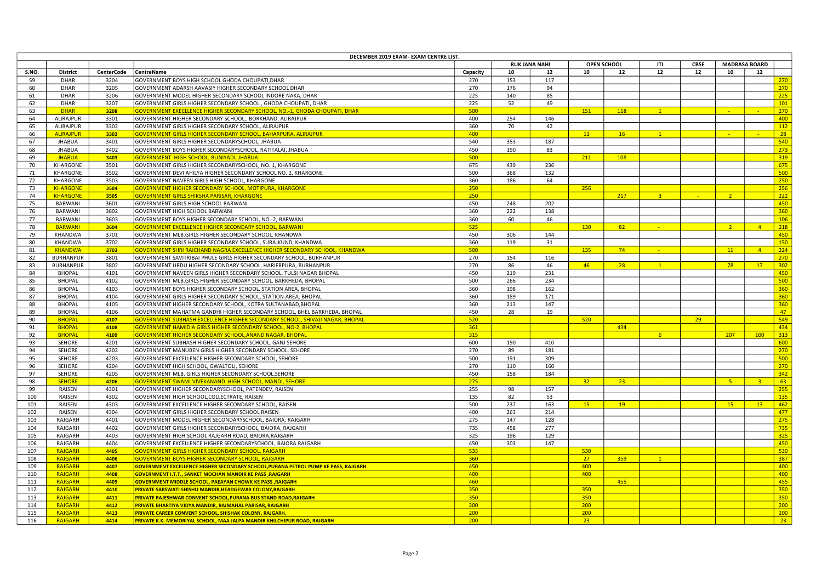| DECEMBER 2019 EXAM- EXAM CENTRE LIST. |                  |                   |                                                                                   |          |     |                      |                    |     |                |               |                |                      |     |
|---------------------------------------|------------------|-------------------|-----------------------------------------------------------------------------------|----------|-----|----------------------|--------------------|-----|----------------|---------------|----------------|----------------------|-----|
|                                       |                  |                   |                                                                                   |          |     | <b>RUK JANA NAHI</b> | OPEN SCHOOL<br>ITI |     |                | <b>CBSE</b>   |                | <b>MADRASA BOARD</b> |     |
| S.NO.                                 | District         | <b>CenterCode</b> | CentreName                                                                        | Capacity | 10  | 12                   | 10                 | 12  | 12             | 12            | 10             | 12                   |     |
| 59                                    | <b>DHAR</b>      | 3204              | GOVERNMENT BOYS HIGH SCHOOL GHODA CHOUPATI, DHAR                                  | 270      | 153 | 117                  |                    |     |                |               |                |                      | 270 |
| 60                                    | <b>DHAR</b>      | 3205              | GOVERNMENT ADARSH AAVASIY HIGHER SECONDARY SCHOOL DHAR                            | 270      | 176 | 94                   |                    |     |                |               |                |                      | 270 |
| 61                                    | DHAR             | 3206              | GOVERNMENT MODEL HIGHER SECONDARY SCHOOL INDORE NAKA, DHAR                        | 225      | 140 | 85                   |                    |     |                |               |                |                      | 225 |
| 62                                    | DHAR             | 3207              | GOVERNMENT GIRLS HIGHER SECONDARY SCHOOL, GHODA CHOUPATI, DHAR                    | 225      | 52  | 49                   |                    |     |                |               |                |                      | 101 |
| 63                                    | <b>DHAR</b>      | 3208              | GOVERNMENT EXECLLENCE HIGHER SECONDARY SCHOOL, NO.-1, GHODA CHOUPATI, DHAR        | 500      |     |                      | 151                | 118 | $\overline{1}$ |               |                |                      | 270 |
| 64                                    | ALIRAJPUR        | 3301              | GOVERNMENT HIGHER SECONDARY SCHOOL,. BORKHAND, ALIRAJPUR                          | 400      | 254 | 146                  |                    |     |                |               |                |                      | 400 |
| 65                                    | ALIRAJPUR        | 3302              | GOVERNMENT GIRLS HIGHER SECONDARY SCHOOL, ALIRAJPUR                               | 360      | 70  | 42                   |                    |     |                |               |                |                      | 112 |
| 66                                    | <b>ALIRAJPUR</b> | 3302              | GOVERNMENT GIRLS HIGHER SECONDARY SCHOOL, BAHARPURA, ALIRAJPUR                    | 400      |     |                      |                    | 16  | $\sqrt{1}$     |               |                |                      | 28  |
|                                       |                  |                   |                                                                                   |          |     |                      | 11                 |     |                |               |                |                      | 540 |
| 67                                    | <b>JHABUA</b>    | 3401              | GOVERNMENT GIRLS HIGHER SECONDARYSCHOOL, JHABUA                                   | 540      | 353 | 187                  |                    |     |                |               |                |                      |     |
| 68                                    | <b>JHABUA</b>    | 3402              | GOVERNMENT BOYS HIGHER SECONDARYSCHOOL, RATITALAI, JHABUA                         | 450      | 190 | 83                   |                    |     |                |               |                |                      | 273 |
| 69                                    | <b>JHABUA</b>    | 3403              | <b>GOVERNMENT HIGH SCHOOL, BUNIYADI, JHABUA</b>                                   | 500      |     |                      | 211                | 108 |                |               |                |                      | 319 |
| 70                                    | KHARGONE         | 3501              | GOVERNMENT GIRLS HIGHER SECONDARYSCHOOL, NO. 1, KHARGONE                          | 675      | 439 | 236                  |                    |     |                |               |                |                      | 675 |
| 71                                    | KHARGONE         | 3502              | GOVERNMENT DEVI AHILYA HIGHER SECONDARY SCHOOL NO. 2, KHARGONE                    | 500      | 368 | 132                  |                    |     |                |               |                |                      | 500 |
| 72                                    | KHARGONE         | 3503              | GOVERNMENT NAVEEN GIRLS HIGH SCHOOL, KHARGONE                                     | 360      | 186 | 64                   |                    |     |                |               |                |                      | 250 |
| 73                                    | <b>KHARGONE</b>  | 3504              | GOVERNMENT HIGHER SECONDARY SCHOOL, MOTIPURA, KHARGONE                            | 250      |     |                      | 256                |     |                |               |                |                      | 256 |
| 74                                    | <b>KHARGONE</b>  | 3505              | <b>GOVERNMENT GIRLS SHIKSHA PARISAR, KHARGONE</b>                                 | 250      |     |                      |                    | 217 | $-3$           | <b>Carlos</b> | $2^{\circ}$    |                      | 222 |
| 75                                    | BARWANI          | 3601              | GOVERNMENT GIRLS HIGH SCHOOL BARWANI                                              | 450      | 248 | 202                  |                    |     |                |               |                |                      | 450 |
| 76                                    | BARWANI          | 3602              | <b>GOVERNMENT HIGH SCHOOL BARWANI</b>                                             | 360      | 222 | 138                  |                    |     |                |               |                |                      | 360 |
| 77                                    | BARWANI          | 3603              | GOVERNMENT BOYS HIGHER SECONDARY SCHOOL, NO.-2, BARWANI                           | 360      | 60  | 46                   |                    |     |                |               |                |                      | 106 |
| 78                                    | <b>BARWANI</b>   | 3604              | <b>GOVERNMENT EXCELLENCE HIGHER SECONDARY SCHOOL, BARWANI</b>                     | 525      |     |                      | 130                | 82  |                |               | 2 <sup>2</sup> | $\overline{4}$       | 218 |
| 79                                    | KHANDWA          | 3701              | GOVERNMENT MLB.GIRLS HIGHER SECONDARY SCHOOL. KHANDWA                             | 450      | 306 | 144                  |                    |     |                |               |                |                      | 450 |
| 80                                    | KHANDWA          | 3702              | GOVERNMENT GIRLS HIGHER SECONDARY SCHOOL, SURAJKUND, KHANDWA                      | 360      | 119 | 31                   |                    |     |                |               |                |                      | 150 |
| 81                                    | <b>KHANDWA</b>   | 3703              | GOVERNMENT SHRI RAICHAND NAGRA EXCELLENCE HIGHER SECONDARY SCHOOL, KHANDWA        | 500      |     |                      | 135                | 74  |                |               | 11             | $\overline{a}$       | 224 |
| 82                                    | <b>BURHANPUR</b> | 3801              | GOVERNMENT SAVITRIBAI PHULE GIRLS HIGHER SECONDARY SCHOOL, BURHANPUR              | 270      | 154 | 116                  |                    |     |                |               |                |                      | 270 |
| 83                                    | <b>BURHANPUR</b> | 3802              | GOVERNMENT URDU HIGHER SECONDARY SCHOOL, HARIERPURA, BURHANPUR                    | 270      | 86  | 46                   | 46                 | 28  | $\mathbf{1}$   |               | 78             | 17                   | 302 |
| 84                                    | <b>BHOPAL</b>    | 4101              | GOVERNMENT NAVEEN GIRLS HIGHER SECONDARY SCHOOL. TULSI NAGAR BHOPAL               | 450      | 219 | 231                  |                    |     |                |               |                |                      | 450 |
| 85                                    | <b>BHOPAL</b>    | 4102              | GOVERNMENT MLB.GIRLS HIGHER SECONDARY SCHOOL. BARKHEDA, BHOPAL                    | 500      | 266 | 234                  |                    |     |                |               |                |                      | 500 |
| 86                                    |                  |                   | GOVERNMENT BOYS HIGHER SECONDARY SCHOOL, STATION AREA, BHOPAL                     | 360      | 198 | 162                  |                    |     |                |               |                |                      | 360 |
|                                       | <b>BHOPAL</b>    | 4103              |                                                                                   | 360      |     |                      |                    |     |                |               |                |                      | 360 |
| 87                                    | <b>BHOPAL</b>    | 4104              | GOVERNMENT GIRLS HIGHER SECONDARY SCHOOL, STATION AREA, BHOPAL                    |          | 189 | 171                  |                    |     |                |               |                |                      |     |
| 88                                    | <b>BHOPAL</b>    | 4105              | GOVERNMENT HIGHER SECONDARY SCHOOL, KOTRA SULTANABAD, BHOPAL                      | 360      | 213 | 147                  |                    |     |                |               |                |                      | 360 |
| 89                                    | <b>BHOPAL</b>    | 4106              | GOVERNMENT MAHATMA GANDHI HIGHER SECONDARY SCHOOL, BHEL BARKHEDA, BHOPAL          | 450      | 28  | 19                   |                    |     |                |               |                |                      | 47  |
| 90                                    | <b>BHOPAL</b>    | 4107              | GOVERNMENT SUBHASH EXCELLENCE HIGHER SECONDARY SCHOOL, SHIVAJI NAGAR, BHOPAL      | 520      |     |                      | 520                |     |                | 29            |                |                      | 549 |
| 91                                    | <b>BHOPAL</b>    | 4108              | GOVERNMENT HAMIDIA GIRLS HIGHER SECONDARY SCHOOL, NO-2, BHOPAL                    | 361      |     |                      |                    | 434 |                |               |                |                      | 434 |
| 92                                    | <b>BHOPAL</b>    | 4109              | GOVERNMENT HIGHER SECONDARY SCHOOL, ANAND NAGAR, BHOPAL                           | 315      |     |                      |                    |     | 6 <sup>1</sup> |               | 207            | 100                  | 313 |
| 93                                    | SEHORE           | 4201              | GOVERNMENT SUBHASH HIGHER SECONDARY SCHOOL, GANJ SEHORE                           | 600      | 190 | 410                  |                    |     |                |               |                |                      | 600 |
| 94                                    | SEHORE           | 4202              | GOVERNMENT MANUBEN GIRLS HIGHER SECONDARY SCHOOL, SEHORE                          | 270      | 89  | 181                  |                    |     |                |               |                |                      | 270 |
| 95                                    | SEHORE           | 4203              | GOVERNMENT EXCELLENCE HIGHER SECONDARY SCHOOL, SEHORE                             | 500      | 191 | 309                  |                    |     |                |               |                |                      | 500 |
| 96                                    | SEHORE           | 4204              | GOVERNMENT HIGH SCHOOL, GWALTOLI, SEHORE                                          | 270      | 110 | 160                  |                    |     |                |               |                |                      | 270 |
| 97                                    | SEHORE           | 4205              | GOVERNMENT MLB. GIRLS HIGHER SECONDARY SCHOOL.SEHORE                              | 450      | 158 | 184                  |                    |     |                |               |                |                      | 342 |
| 98                                    | <b>SEHORE</b>    | 4206              | GOVERNMENT SWAMI VIVEKANAND HIGH SCHOOL, MANDI, SEHORE                            | 275      |     |                      | 32 <sub>2</sub>    | 23  |                |               | 5 <sub>1</sub> | $\overline{3}$       | 63  |
| 99                                    | RAISEN           | 4301              | GOVERNMENT HIGHER SECONDARYSCHOOL, PATENDEV, RAISEN                               | 255      | 98  | 157                  |                    |     |                |               |                |                      | 255 |
| 100                                   | RAISEN           | 4302              | GOVERNMENT HIGH SCHOOL, COLLECTRATE, RAISEN                                       | 135      | 82  | 53                   |                    |     |                |               |                |                      | 135 |
| 101                                   | RAISEN           | 4303              | GOVERNMENT EXCELLENCE HIGHER SECONDARY SCHOOL, RAISEN                             | 500      | 237 | 163                  | 15                 | 19  |                |               | 15             | 13                   | 462 |
| 102                                   | RAISEN           | 4304              | GOVERNMENT GIRLS HIGHER SECONDARY SCHOOL RAISEN                                   | 400      | 263 | 214                  |                    |     |                |               |                |                      | 477 |
| 103                                   | RAJGARH          | 4401              | GOVERNMENT MODEL HIGHER SECONDARYSCHOOL, BAIORA, RAJGARH                          | 275      | 147 | 128                  |                    |     |                |               |                |                      | 275 |
| 104                                   | RAJGARH          | 4402              | GOVERNMENT GIRLS HIGHER SECONDARYSCHOOL, BAIORA, RAJGARH                          | 735      | 458 | 277                  |                    |     |                |               |                |                      | 735 |
| 105                                   | RAJGARH          | 4403              | GOVERNMENT HIGH SCHOOL RAJGARH ROAD, BAIORA, RAJGARH                              | 325      | 196 | 129                  |                    |     |                |               |                |                      | 325 |
| 106                                   | RAJGARH          | 4404              | GOVERNMENT EXCELLENCE HIGHER SECONDARYSCHOOL, BAIORA RAJGARH                      | 450      | 303 | 147                  |                    |     |                |               |                |                      | 450 |
| 107                                   | <b>RAJGARH</b>   | 4405              | GOVERNMENT GIRLS HIGHER SECONDARY SCHOOL, RAJGARH                                 | 533      |     |                      | 530                |     |                |               |                |                      | 530 |
|                                       |                  |                   |                                                                                   | 360      |     |                      | 27 <sup>2</sup>    | 359 | 1              |               |                |                      | 387 |
| 108                                   | RAJGARH          | 4406              | GOVERNMENT BOYS HIGHER SECONDARY SCHOOL, RAJGARH                                  |          |     |                      |                    |     |                |               |                |                      | 400 |
| 109                                   | RAJGARH          | 4407              | GOVERNMENT EXCELLENCE HIGHER SECONDARY SCHOOL,PURANA PETROL PUMP KE PASS, RAJGARH | 450      |     |                      | 400                |     |                |               |                |                      |     |
| 110                                   | RAJGARH          | 4408              | GOVERNMENT I.T.T., SANKET MOCHAN MANDIR KE PASS ,RAJGARH                          | 400      |     |                      | 400                |     |                |               |                |                      | 400 |
| 111                                   | RAJGARH          | 4409              | <b>GOVERNMENT MIDDLE SCHOOL, PAEAYAN CHOWK KE PASS, RAJGARH</b>                   | 460      |     |                      |                    | 455 |                |               |                |                      | 455 |
| 112                                   | RAJGARH          | 4410              | <mark>PRIVATE SARSWATI SHISHU MANDIR,HEADGEWAR COLONY,RAJGARH</mark>              | 350      |     |                      | 350                |     |                |               |                |                      | 350 |
| 113                                   | RAJGARH          | 4411              | PRIVATE RAJESHWAR CONVENT SCHOOL, PURANA BUS STAND ROAD, RAJGARH                  | 350      |     |                      | 350                |     |                |               |                |                      | 350 |
| 114                                   | RAJGARH          | 4412              | PRIVATE BHARTIYA VIDYA MANDIR, RAJMAHAL PARISAR, RAJGARH                          | 200      |     |                      | 200                |     |                |               |                |                      | 200 |
| 115                                   | RAJGARH          | 4413              | PRIVATE CAREER CONVENT SCHOOL, SHISHAK COLONY, RAJGARH.                           | 200      |     |                      | 200                |     |                |               |                |                      | 200 |
| 116                                   | RAJGARH          | 4414              | PRIVATE K.K. MEMORIYAL SCHOOL, MAA JALPA MANDIR KHILCHIPUR ROAD, RAJGARH          | 200      |     |                      | 23 <sup>°</sup>    |     |                |               |                |                      | 23  |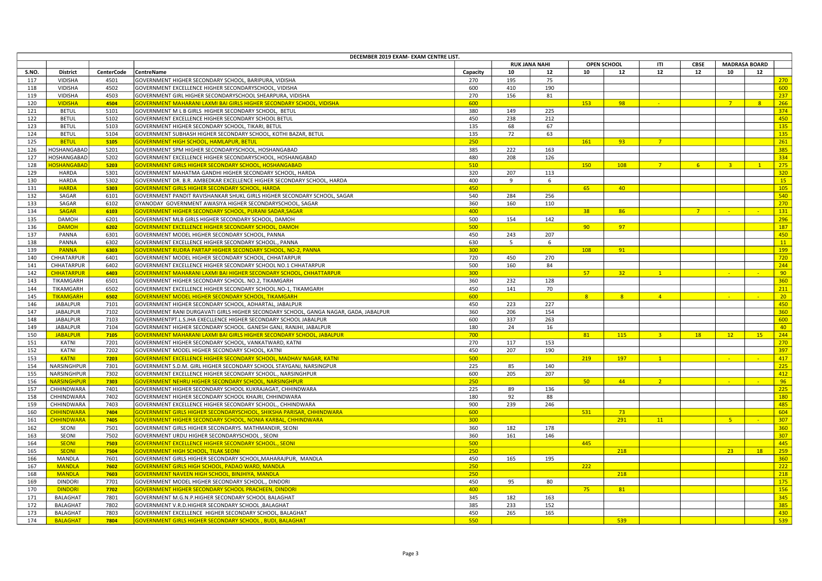| DECEMBER 2019 EXAM- EXAM CENTRE LIST. |                    |                   |                                                                                      |          |     |                      |                    |                |                |                                     |                |           |     |
|---------------------------------------|--------------------|-------------------|--------------------------------------------------------------------------------------|----------|-----|----------------------|--------------------|----------------|----------------|-------------------------------------|----------------|-----------|-----|
|                                       |                    |                   |                                                                                      |          |     | <b>RUK JANA NAHI</b> | OPEN SCHOOL<br>ITI |                |                | <b>MADRASA BOARD</b><br><b>CBSE</b> |                |           |     |
| S.NO.                                 | <b>District</b>    | <b>CenterCode</b> | CentreName                                                                           | Capacity | 10  | 12                   | 10                 | 12             | 12             | 12                                  | 10             | 12        |     |
| 117                                   | VIDISHA            | 4501              | GOVERNMENT HIGHER SECONDARY SCHOOL, BARIPURA, VIDISHA                                | 270      | 195 | 75                   |                    |                |                |                                     |                |           | 270 |
| 118                                   | VIDISHA            | 4502              | GOVERNMENT EXCELLENCE HIGHER SECONDARYSCHOOL, VIDISHA                                | 600      | 410 | 190                  |                    |                |                |                                     |                |           | 600 |
| 119                                   | VIDISHA            | 4503              | GOVERNMENT GIRL HIGHER SECONDARYSCHOOL SHEARPURA, VIDISHA                            | 270      | 156 | 81                   |                    |                |                |                                     |                |           | 237 |
| 120                                   | <b>VIDISHA</b>     | 4504              | GOVERNMENT MAHARANI LAXMI BAI GIRLS HIGHER SECONDARY SCHOOL, VIDISHA                 | 600      |     |                      | 153                | 98             |                |                                     | 7 <sup>7</sup> | 8         | 266 |
| 121                                   | <b>BETUL</b>       | 5101              | GOVERNMENT M L B GIRLS HIGHER SECONDARY SCHOOL, BETUL                                | 380      | 149 | 225                  |                    |                |                |                                     |                |           | 374 |
| 122                                   | <b>BETUL</b>       | 5102              | GOVERNMENT EXCELLENCE HIGHER SECONDARY SCHOOL BETUL                                  | 450      | 238 | 212                  |                    |                |                |                                     |                |           | 450 |
| 123                                   | <b>BETUL</b>       | 5103              | GOVERNMENT HIGHER SECONDARY SCHOOL, TIKARI, BETUL                                    | 135      | 68  | 67                   |                    |                |                |                                     |                |           | 135 |
| 124                                   | <b>BETUL</b>       | 5104              | GOVERNMENT SUBHASH HIGHER SECONDARY SCHOOL, KOTHI BAZAR, BETUL                       | 135      | 72  | 63                   |                    |                |                |                                     |                |           | 135 |
| 125                                   | <b>BETUL</b>       | 5105              | <mark>GOVERNMENT HIGH SCHOOL, HAMLAPUR, BETUI</mark>                                 | 250      |     |                      | 161                | 93             | 7 <sup>7</sup> |                                     |                |           | 261 |
| 126                                   | HOSHANGABAD        | 5201              | GOVERNMENT SPM HIGHER SECONDARYSCHOOL, HOSHANGABAD                                   | 385      | 222 | 163                  |                    |                |                |                                     |                |           | 385 |
| 127                                   | HOSHANGABAD        | 5202              | GOVERNMENT EXCELLENCE HIGHER SECONDARYSCHOOL, HOSHANGABAD                            | 480      | 208 | 126                  |                    |                |                |                                     |                |           | 334 |
| 128                                   | <b>OSHANGABAD</b>  | 5203              | GOVERNMENT GIRLS HIGHER SECONDARY SCHOOL, HOSHANGABAD                                | 510      |     |                      | 150                | 108            | 7 <sup>7</sup> | 6 <sup>1</sup>                      | 3 <sup>o</sup> | $-1$      | 275 |
| 129                                   | HARDA              | 5301              | GOVERNMENT MAHATMA GANDHI HIGHER SECONDARY SCHOOL, HARDA                             | 320      | 207 | 113                  |                    |                |                |                                     |                |           | 320 |
| 130                                   | <b>HARDA</b>       | 5302              | GOVERNMENT DR. B.R. AMBEDKAR EXCELLENCE HIGHER SECONDARY SCHOOL, HARDA               | 400      | 9   | 6                    |                    |                |                |                                     |                |           | 15  |
|                                       |                    |                   |                                                                                      |          |     |                      |                    |                |                |                                     |                |           |     |
| 131                                   | <b>HARDA</b>       | 5303              | GOVERNMENT GIRLS HIGHER SECONDARY SCHOOL, HARDA                                      | 450      |     |                      | 65                 | 40             |                |                                     |                |           | 105 |
| 132                                   | SAGAR              | 6101              | GOVERNMENT PANDIT RAVISHANKAR SHUKL GIRLS HIGHER SECONDARY SCHOOL, SAGAR             | 540      | 284 | 256                  |                    |                |                |                                     |                |           | 540 |
| 133                                   | SAGAR              | 6102              | GYANODAY GOVERNMENT AWASIYA HIGHER SECONDARYSCHOOL, SAGAR                            | 360      | 160 | 110                  |                    |                |                |                                     |                |           | 270 |
| 134                                   | <b>SAGAR</b>       | 6103              | GOVERNMENT HIGHER SECONDARY SCHOOL, PURANI SADAR, SAGAR                              | 400      |     |                      | 38                 | 86             |                | $\overline{7}$                      | - 20           |           | 131 |
| 135                                   | DAMOH              | 6201              | GOVERNMENT MLB GIRLS HIGHER SECONDARY SCHOOL, DAMOH                                  | 500      | 154 | 142                  |                    |                |                |                                     |                |           | 296 |
| 136                                   | <b>DAMOH</b>       | 6202              | <b>GOVERNMENT EXCELLENCE HIGHER SECONDARY SCHOOL, DAMOH</b>                          | 500      |     |                      | 90 <sub>o</sub>    | 97             |                |                                     |                |           | 187 |
| 137                                   | PANNA              | 6301              | GOVERNMENT MODEL HIGHER SECONDARY SCHOOL, PANNA                                      | 450      | 243 | 207                  |                    |                |                |                                     |                |           | 450 |
| 138                                   | PANNA              | 6302              | GOVERNMENT EXCELLENCE HIGHER SECONDARY SCHOOL., PANNA                                | 630      | 5   | 6                    |                    |                |                |                                     |                |           | 11  |
| 139                                   | <b>PANNA</b>       | 6303              | GOVERNMENT RUDRA PARTAP HIGHER SECONDARY SCHOOL, NO-2, PANNA                         | 300      |     |                      | 108                | 91             |                |                                     |                |           | 199 |
| 140                                   | CHHATARPUR         | 6401              | GOVERNMENT MODEL HIGHER SECONDARY SCHOOL, CHHATARPUR                                 | 720      | 450 | 270                  |                    |                |                |                                     |                |           | 720 |
| 141                                   | CHHATARPUR         | 6402              | GOVERNMENT EXCELLENCE HIGHER SECONDARY SCHOOL NO.1 CHHATARPUR                        | 500      | 160 | 84                   |                    |                |                |                                     |                |           | 244 |
| 142                                   | <b>CHHATARPUR</b>  | 6403              | GOVERNMENT MAHARANI LAXMI BAI HIGHER SECONDARY SCHOOL, CHHATTARPUR                   | 300      |     |                      | 57 <sub>2</sub>    | 32             | $\mathbf{1}$   |                                     | <b>COL</b>     | - 1       | 90  |
| 143                                   | TIKAMGARH          | 6501              | GOVERNMENT HIGHER SECONDARY SCHOOL. NO.2, TIKAMGARH                                  | 360      | 232 | 128                  |                    |                |                |                                     |                |           | 360 |
| 144                                   | TIKAMGARH          | 6502              | GOVERNMENT EXCELLENCE HIGHER SECONDARY SCHOOL.NO-1, TIKAMGARH                        | 450      | 141 | 70                   |                    |                |                |                                     |                |           | 211 |
| 145                                   | <b>TIKAMGARH</b>   | 6502              | <b>GOVERNMENT MODEL HIGHER SECONDARY SCHOOL, TIKAMGARH</b>                           | 600      |     |                      | 8 <sup>2</sup>     | 8 <sup>2</sup> | $\sqrt{4}$     |                                     | <b>SALE</b>    | $\sim$    | 20  |
| 146                                   | JABALPUR           | 7101              | GOVERNMENT HIGHER SECONDARY SCHOOL, ADHARTAL, JABALPUR                               | 450      | 223 | 227                  |                    |                |                |                                     |                |           | 450 |
| 147                                   | JABALPUR           | 7102              | GOVERNMENT RANI DURGAVATI GIRLS HIGHER SECONDARY SCHOOL, GANGA NAGAR, GADA, JABALPUR | 360      | 206 | 154                  |                    |                |                |                                     |                |           | 360 |
| 148                                   | <b>JABALPUR</b>    | 7103              | GOVERNMENTPT.L.S.JHA EXECLLENCE HIGHER SECONDARY SCHOOL JABALPUR                     | 600      | 337 | 263                  |                    |                |                |                                     |                |           | 600 |
| 149                                   | JABALPUR           | 7104              | GOVERNMENT HIGHER SECONDARY SCHOOL. GANESH GANJ, RANJHI, JABALPUR                    | 180      | 24  | 16                   |                    |                |                |                                     |                |           | 40  |
| 150                                   | <b>JABALPUR</b>    | 7105              | GOVERNMENT MAHARANI LAXMI BAI GIRLS HIGHER SECONDARY SCHOOL, JABALPUR                | 700      |     |                      | 81                 | 115            | 3 <sup>o</sup> | 18                                  | 12             | <b>15</b> | 244 |
| 151                                   | KATNI              | 7201              | GOVERNMENT HIGHER SECONDARY SCHOOL, VANKATWARD, KATNI                                | 270      | 117 | 153                  |                    |                |                |                                     |                |           | 270 |
| 152                                   | KATNI              | 7202              | GOVERNMENT MODEL HIGHER SECONDARY SCHOOL, KATNI                                      | 450      | 207 | 190                  |                    |                |                |                                     |                |           | 397 |
| 153                                   | <b>KATNI</b>       | 7203              | GOVERNMENT EXCELLENCE HIGHER SECONDARY SCHOOL, MADHAV NAGAR, KATNI                   | 500      |     |                      | 219                | 197            | $\mathbf{1}$   |                                     | $\sim$         |           | 417 |
|                                       |                    |                   |                                                                                      |          |     |                      |                    |                |                |                                     |                |           | 225 |
| 154                                   | NARSINGHPUR        | 7301              | GOVERNMENT S.D.M. GIRL HIGHER SECONDARY SCHOOL STAYGANJ, NARSINGPUR                  | 225      | 85  | 140                  |                    |                |                |                                     |                |           |     |
| 155                                   | NARSINGHPUR        | 7302              | GOVERNMENT EXCELLENCE HIGHER SECONDARY SCHOOL., NARSINGHPUR                          | 600      | 205 | 207                  |                    |                |                |                                     |                |           | 412 |
| 156                                   | <b>NARSINGHPUR</b> | 7303              | GOVERNMENT NEHRU HIGHER SECONDARY SCHOOL, NARSINGHPUR                                | 250      |     |                      | 50 <sub>2</sub>    | 44             | 2 <sup>1</sup> |                                     | - 1            |           | 96  |
| 157                                   | CHHINDWARA         | 7401              | GOVERNMENT HIGHER SECONDARY SCHOOL KUKRAJAGAT, CHHINDWARA                            | 225      | 89  | 136                  |                    |                |                |                                     |                |           | 225 |
| 158                                   | CHHINDWARA         | 7402              | GOVERNMENT HIGHER SECONDARY SCHOOL KHAJRI, CHHINDWARA                                | 180      | 92  | 88                   |                    |                |                |                                     |                |           | 180 |
| 159                                   | CHHINDWARA         | 7403              | GOVERNMENT EXCELLENCE HIGHER SECONDARY SCHOOL., CHHINDWARA                           | 900      | 239 | 246                  |                    |                |                |                                     |                |           | 485 |
| 160                                   | <b>CHHINDWARA</b>  | 7404              | GOVERNMENT GIRLS HIGHER SECONDARYSCHOOL, SHIKSHA PARISAR, CHHINDWARA                 | 600      |     |                      | 531                | 73             |                |                                     |                |           | 604 |
| 161                                   | <b>CHHINDWARA</b>  | 7405              | GOVERNMENT HIGHER SECONDARY SCHOOL, NONIA KARBAL, CHHINDWARA                         | 300      |     |                      |                    | 291            | 11             |                                     | $-5$           | - 2       | 307 |
| 162                                   | SEONI              | 7501              | GOVERNMENT GIRLS HIGHER SECONDARYS. MATHMANDIR, SEONI                                | 360      | 182 | 178                  |                    |                |                |                                     |                |           | 360 |
| 163                                   | SEONI              | 7502              | GOVERNMENT URDU HIGHER SECONDARYSCHOOL, SEONI                                        | 360      | 161 | 146                  |                    |                |                |                                     |                |           | 307 |
| 164                                   | <b>SEONI</b>       | 7503              | GOVERNMENT EXCELLENCE HIGHER SECONDARY SCHOOL., SEONI                                | 500      |     |                      | 445                |                |                |                                     |                |           | 445 |
| 165                                   | <b>SEONI</b>       | 7504              | <b>GOVERNMENT HIGH SCHOOL, TILAK SEONI</b>                                           | 250      |     |                      |                    | 218            |                |                                     | 23             | <b>18</b> | 259 |
| 166                                   | MANDLA             | 7601              | GOVERNMENT GIRLS HIGHER SECONDARY SCHOOL, MAHARAJPUR, MANDLA                         | 450      | 165 | 195                  |                    |                |                |                                     |                |           | 360 |
| 167                                   | <b>MANDLA</b>      | 7602              | GOVERNMENT GIRLS HIGH SCHOOL, PADAO WARD, MANDLA                                     | 250      |     |                      | 222                |                |                |                                     |                |           | 222 |
| 168                                   | <b>MANDLA</b>      | 7603              | GOVERNMENT NAVEEN HIGH SCHOOL, BINJHIYA, MANDLA                                      | 250      |     |                      |                    | 218            |                |                                     |                |           | 218 |
| 169                                   | <b>DINDORI</b>     | 7701              | GOVERNMENT MODEL HIGHER SECONDARY SCHOOL., DINDORI                                   | 450      | 95  | 80                   |                    |                |                |                                     |                |           | 175 |
| 170                                   | <b>DINDORI</b>     | 7702              | <b>GOVERNMENT HIGHER SECONDARY SCHOOL PRACHEEN, DINDORI</b>                          | 400      |     |                      | $75 -$             | 81             |                |                                     |                |           | 156 |
| 171                                   | BALAGHAT           | 7801              | GOVERNMENT M.G.N.P.HIGHER SECONDARY SCHOOL BALAGHAT                                  | 345      | 182 | 163                  |                    |                |                |                                     |                |           | 345 |
| 172                                   | <b>BALAGHAT</b>    | 7802              | GOVERNMENT V.R.D.HIGHER SECONDARY SCHOOL , BALAGHAT                                  | 385      | 233 | 152                  |                    |                |                |                                     |                |           | 385 |
| 173                                   | BALAGHAT           | 7803              | GOVERNMENT EXCELLENCE HIGHER SECONDARY SCHOOL, BALAGHAT                              | 450      | 265 | 165                  |                    |                |                |                                     |                |           | 430 |
| 174                                   | <b>BALAGHAT</b>    | 7804              | <b>GOVERNMENT GIRLS HIGHER SECONDARY SCHOOL, BUDI, BALAGHAT</b>                      | 550      |     |                      |                    | 539            |                |                                     |                |           | 539 |
|                                       |                    |                   |                                                                                      |          |     |                      |                    |                |                |                                     |                |           |     |